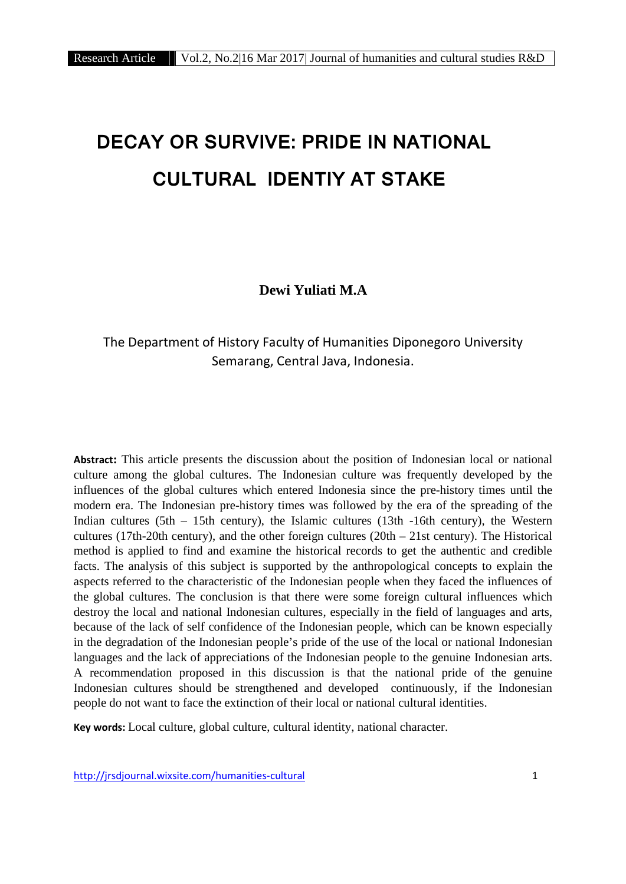# **DECAY OR SURVIVE: PRIDE IN NATIONAL CULTURAL IDENTIY AT STAKE**

**Dewi Yuliati M.A**

## The Department of History Faculty of Humanities Diponegoro University Semarang, Central Java, Indonesia.

**Abstract:** This article presents the discussion about the position of Indonesian local or national culture among the global cultures. The Indonesian culture was frequently developed by the influences of the global cultures which entered Indonesia since the pre-history times until the modern era. The Indonesian pre-history times was followed by the era of the spreading of the Indian cultures (5th  $-$  15th century), the Islamic cultures (13th  $-16$ th century), the Western cultures (17th-20th century), and the other foreign cultures (20th  $-$  21st century). The Historical method is applied to find and examine the historical records to get the authentic and credible facts. The analysis of this subject is supported by the anthropological concepts to explain the aspects referred to the characteristic of the Indonesian people when they faced the influences of the global cultures. The conclusion is that there were some foreign cultural influences which destroy the local and national Indonesian cultures, especially in the field of languages and arts, because of the lack of self confidence of the Indonesian people, which can be known especially in the degradation of the Indonesian people's pride of the use of the local or national Indonesian languages and the lack of appreciations of the Indonesian people to the genuine Indonesian arts. A recommendation proposed in this discussion is that the national pride of the genuine Indonesian cultures should be strengthened and developed continuously, if the Indonesian people do not want to face the extinction of their local or national cultural identities.

**Key words:** Local culture, global culture, cultural identity, national character.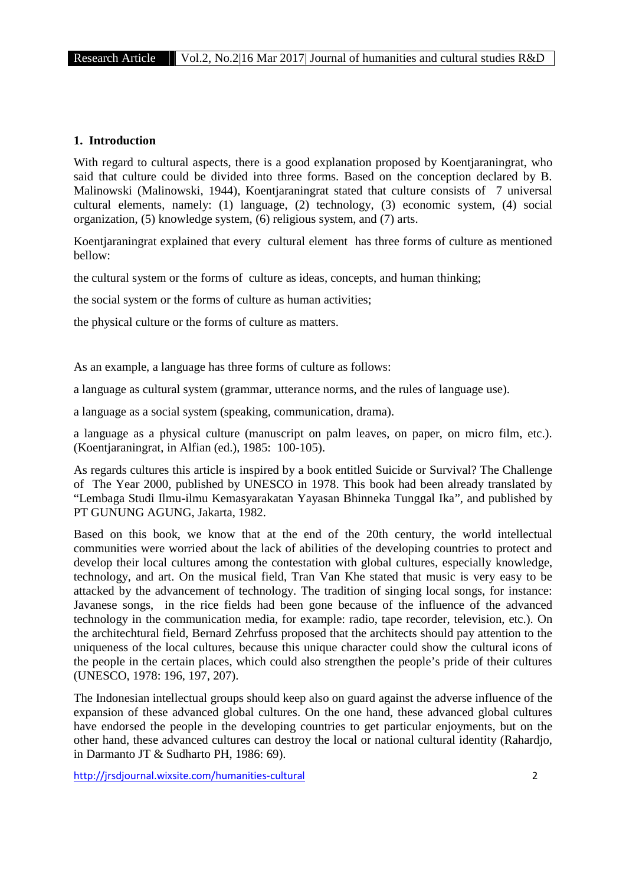#### **1. Introduction**

With regard to cultural aspects, there is a good explanation proposed by Koentjaraningrat, who said that culture could be divided into three forms. Based on the conception declared by B. Malinowski (Malinowski, 1944), Koentjaraningrat stated that culture consists of 7 universal cultural elements, namely: (1) language, (2) technology, (3) economic system, (4) social organization, (5) knowledge system, (6) religious system, and (7) arts.

Koentjaraningrat explained that every cultural element has three forms of culture as mentioned bellow:

the cultural system or the forms of culture as ideas, concepts, and human thinking;

the social system or the forms of culture as human activities;

the physical culture or the forms of culture as matters.

As an example, a language has three forms of culture as follows:

a language as cultural system (grammar, utterance norms, and the rules of language use).

a language as a social system (speaking, communication, drama).

a language as a physical culture (manuscript on palm leaves, on paper, on micro film, etc.). (Koentjaraningrat, in Alfian (ed.), 1985: 100-105).

As regards cultures this article is inspired by a book entitled Suicide or Survival? The Challenge of The Year 2000, published by UNESCO in 1978. This book had been already translated by "Lembaga Studi Ilmu-ilmu Kemasyarakatan Yayasan Bhinneka Tunggal Ika", and published by PT GUNUNG AGUNG, Jakarta, 1982.

Based on this book, we know that at the end of the 20th century, the world intellectual communities were worried about the lack of abilities of the developing countries to protect and develop their local cultures among the contestation with global cultures, especially knowledge, technology, and art. On the musical field, Tran Van Khe stated that music is very easy to be attacked by the advancement of technology. The tradition of singing local songs, for instance: Javanese songs, in the rice fields had been gone because of the influence of the advanced technology in the communication media, for example: radio, tape recorder, television, etc.). On the architechtural field, Bernard Zehrfuss proposed that the architects should pay attention to the uniqueness of the local cultures, because this unique character could show the cultural icons of the people in the certain places, which could also strengthen the people's pride of their cultures (UNESCO, 1978: 196, 197, 207).

The Indonesian intellectual groups should keep also on guard against the adverse influence of the expansion of these advanced global cultures. On the one hand, these advanced global cultures have endorsed the people in the developing countries to get particular enjoyments, but on the other hand, these advanced cultures can destroy the local or national cultural identity (Rahardjo, in Darmanto JT & Sudharto PH, 1986: 69).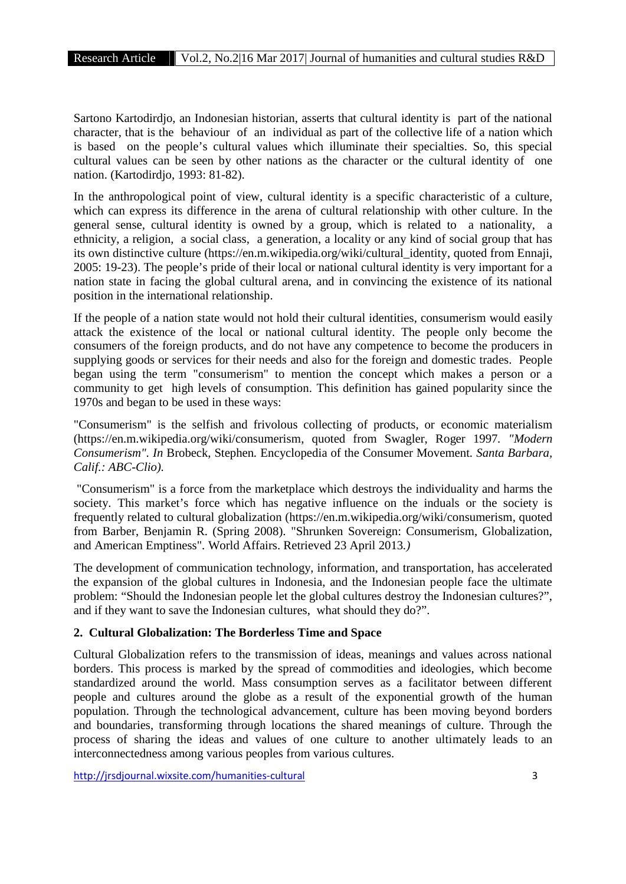Sartono Kartodirdjo, an Indonesian historian, asserts that cultural identity is part of the national character, that is the behaviour of an individual as part of the collective life of a nation which is based on the people's cultural values which illuminate their specialties. So, this special cultural values can be seen by other nations as the character or the cultural identity of one nation. (Kartodirdjo, 1993: 81-82).

In the anthropological point of view, cultural identity is a specific characteristic of a culture, which can express its difference in the arena of cultural relationship with other culture. In the general sense, cultural identity is owned by a group, which is related to a nationality, a ethnicity, a religion, a social class, a generation, a locality or any kind of social group that has its own distinctive culture (https://en.m.wikipedia.org/wiki/cultural\_identity, quoted from Ennaji, 2005: 19-23). The people's pride of their local or national cultural identity is very important for a nation state in facing the global cultural arena, and in convincing the existence of its national position in the international relationship.

If the people of a nation state would not hold their cultural identities, consumerism would easily attack the existence of the local or national cultural identity. The people only become the consumers of the foreign products, and do not have any competence to become the producers in supplying goods or services for their needs and also for the foreign and domestic trades. People began using the term "consumerism" to mention the concept which makes a person or a community to get high levels of consumption. This definition has gained popularity since the 1970s and began to be used in these ways:

"Consumerism" is the selfish and frivolous collecting of products, or economic materialism (https://en.m.wikipedia.org/wiki/consumerism, quoted from Swagler, Roger 1997*. "Modern Consumerism". In* Brobeck, Stephen*.* Encyclopedia of the Consumer Movement*. Santa Barbara, Calif.: ABC-Clio).*

"Consumerism" is a force from the marketplace which destroys the individuality and harms the society. This market's force which has negative influence on the induals or the society is frequently related to cultural globalization (https://en.m.wikipedia.org/wiki/consumerism, quoted from Barber, Benjamin R. (Spring 2008)*.* "Shrunken Sovereign: Consumerism, Globalization, and American Emptiness"*.* World Affairs. Retrieved 23 April 2013*.)*

The development of communication technology, information, and transportation, has accelerated the expansion of the global cultures in Indonesia, and the Indonesian people face the ultimate problem: "Should the Indonesian people let the global cultures destroy the Indonesian cultures?", and if they want to save the Indonesian cultures, what should they do?".

### **2. Cultural Globalization: The Borderless Time and Space**

Cultural Globalization refers to the transmission of ideas, meanings and values across national borders. This process is marked by the spread of commodities and ideologies, which become standardized around the world. Mass consumption serves as a facilitator between different people and cultures around the globe as a result of the exponential growth of the human population. Through the technological advancement, culture has been moving beyond borders and boundaries, transforming through locations the shared meanings of culture. Through the process of sharing the ideas and values of one culture to another ultimately leads to an interconnectedness among various peoples from various cultures.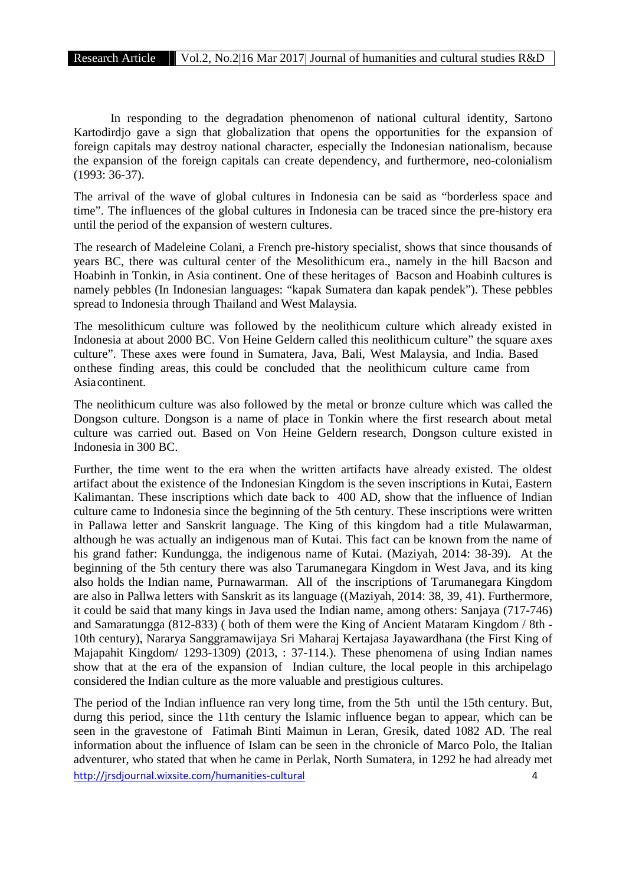In responding to the degradation phenomenon of national cultural identity, Sartono Kartodirdjo gave a sign that globalization that opens the opportunities for the expansion of foreign capitals may destroy national character, especially the Indonesian nationalism, because the expansion of the foreign capitals can create dependency, and furthermore, neo-colonialism (1993: 36-37).

The arrival of the wave of global cultures in Indonesia can be said as "borderless space and time". The influences of the global cultures in Indonesia can be traced since the pre-history era until the period of the expansion of western cultures.

The research of Madeleine Colani, a French pre-history specialist, shows that since thousands of years BC, there was cultural center of the Mesolithicum era., namely in the hill Bacson and Hoabinh in Tonkin, in Asia continent. One of these heritages of Bacson and Hoabinh cultures is namely pebbles (In Indonesian languages: "kapak Sumatera dan kapak pendek"). These pebbles spread to Indonesia through Thailand and West Malaysia. Frankline School and Maximum Cat, hannely in the film Bacson and Hoabinh in Tonkin, in Asia continent. One of these heritages of Bacson and Hoabinh cultures is namely pebbles (In Indonesian languages: "kapak Sumatera dan k

The mesolithicum culture was followed by the neolithicum culture which already existed in culture". These axes were found in Sumatera, Java, Bali, West Malaysia, and India. Based nancity peoples (in moonesian languages). Kapak Bunakera dan kapak pendek *)*. These peoples spread to Indonesia through Thailand and West Malaysia.<br>The mesolithicum culture was followed by the neolithicum culture which al Asiacontinent.

The neolithicum culture was also followed by the metal or bronze culture which was called the Dongson culture. Dongson is a name of place in Tonkin where the first research about metal culture was carried out. Based on Von Heine Geldern research, Dongson culture existed in Indonesia in 300 BC.

Further, the time went to the era when the written artifacts have already existed. The oldest artifact about the existence of the Indonesian Kingdom is the seven inscriptions in Kutai, Eastern Kalimantan. These inscriptions which date back to 400 AD, show that the influence of Indian culture came to Indonesia since the beginning of the 5th century. These inscriptions were written in Pallawa letter and Sanskrit language. The King of this kingdom had a title Mulawarman, although he was actually an indigenous man of Kutai. This fact can be known from the name of his grand father: Kundungga, the indigenous name of Kutai. (Maziyah, 2014: 38-39). At the beginning of the 5th century there was also Tarumanegara Kingdom in West Java, and its king also holds the Indian name, Purnawarman. All of the inscriptions of Tarumanegara Kingdom are also in Pallwa letters with Sanskrit as its language ((Maziyah, 2014: 38, 39, 41). Furthermore, it could be said that many kings in Java used the Indian name, among others: Sanjaya (717-746) and Samaratungga (812-833) ( both of them were the King of Ancient Mataram Kingdom / 8th - 10th century), Nararya Sanggramawijaya Sri Maharaj Kertajasa Jayawardhana (the First King of Majapahit Kingdom/ 1293-1309) (2013, : 37-114.). These phenomena of using Indian names show that at the era of the expansion of Indian culture, the local people in this archipelago considered the Indian culture as the more valuable and prestigious cultures.

http://jrsdjournal.wixsite.com/humanities-cultural 4 The period of the Indian influence ran very long time, from the 5th until the 15th century. But, durng this period, since the 11th century the Islamic influence began to appear, which can be seen in the gravestone of Fatimah Binti Maimun in Leran, Gresik, dated 1082 AD. The real information about the influence of Islam can be seen in the chronicle of Marco Polo, the Italian adventurer, who stated that when he came in Perlak, North Sumatera, in 1292 he had already met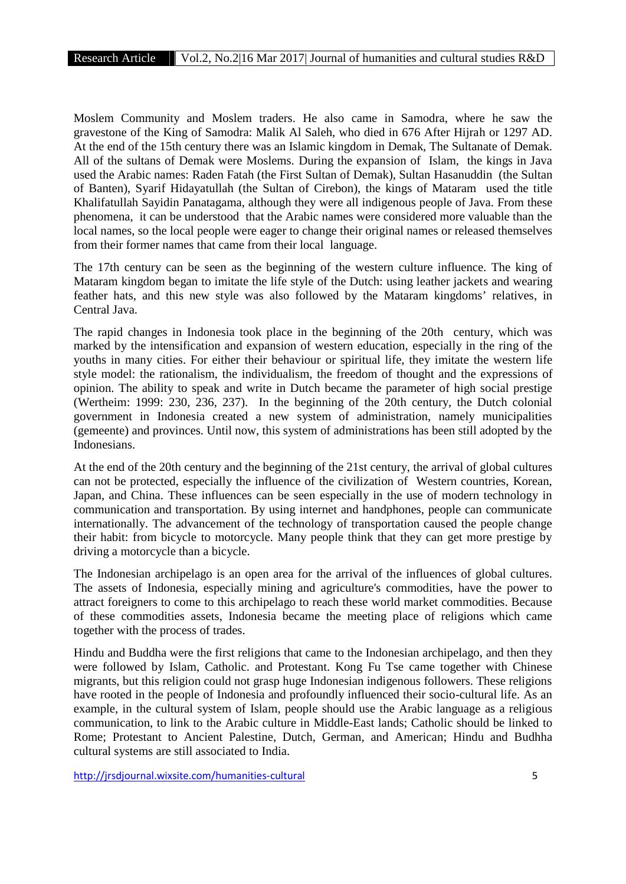Moslem Community and Moslem traders. He also came in Samodra, where he saw the gravestone of the King of Samodra: Malik Al Saleh, who died in 676 After Hijrah or 1297 AD. At the end of the 15th century there was an Islamic kingdom in Demak, The Sultanate of Demak. All of the sultans of Demak were Moslems. During the expansion of Islam, the kings in Java used the Arabic names: Raden Fatah (the First Sultan of Demak), Sultan Hasanuddin (the Sultan of Banten), Syarif Hidayatullah (the Sultan of Cirebon), the kings of Mataram used the title Khalifatullah Sayidin Panatagama, although they were allindigenous people of Java. From these phenomena, it can be understood that the Arabic names were considered more valuable than the local names, so the local people were eager to change their original names or released themselves from their former names that came from their local language.

The 17th century can be seen as the beginning of the western culture influence. The king of Mataram kingdom began to imitate the life style of the Dutch: using leather jackets and wearing feather hats, and this new style was also followed by the Mataram kingdoms' relatives, in Central Java.

The rapid changes in Indonesia took place in the beginning of the 20th century, which was marked by the intensification and expansion of western education, especially in the ring of the youths in many cities. For either their behaviour or spiritual life, they imitate the western life style model: the rationalism, the individualism, the freedom of thought and the expressions of opinion. The ability to speak and write in Dutch became the parameter of high social prestige (Wertheim: 1999: 230, 236, 237). In the beginning of the 20th century, the Dutch colonial government in Indonesia created a new system of administration, namely municipalities (gemeente) and provinces. Until now, this system of administrations has been still adopted by the **Indonesians** 

At the end of the 20th century and the beginning of the 21st century, the arrival of global cultures can not be protected, especially the influence of the civilization of Western countries, Korean, Japan, and China. These influences can be seen especially in the use of modern technology in communication and transportation. By using internet and handphones, people can communicate internationally. The advancement of the technology of transportation caused the people change their habit: from bicycle to motorcycle. Many people think that they can get more prestige by driving a motorcycle than a bicycle.

The Indonesian archipelago is an open area for the arrival of the influences of global cultures. The assets of Indonesia, especially mining and agriculture's commodities, have the power to attract foreigners to come to this archipelago to reach these world market commodities. Because of these commodities assets, Indonesia became the meeting place of religions which came together with the process of trades.

Hindu and Buddha were the first religions that came to the Indonesian archipelago, and then they were followed by Islam, Catholic. and Protestant. Kong Fu Tse came together with Chinese migrants, but this religion could not grasp huge Indonesian indigenous followers. These religions have rooted in the people of Indonesia and profoundly influenced their socio-cultural life. As an example, in the cultural system of Islam, people should use the Arabic language as a religious communication, to link to the Arabic culture in Middle-East lands; Catholic should be linked to Rome; Protestant to Ancient Palestine, Dutch, German, and American; Hindu and Budhha cultural systems are still associated to India.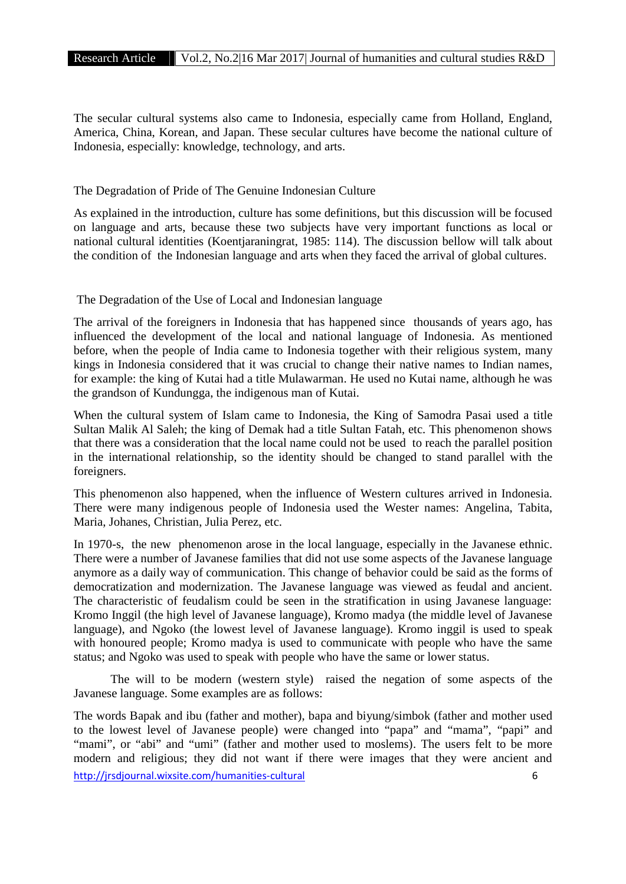The secular cultural systems also came to Indonesia, especially came from Holland, England, America, China, Korean, and Japan. These secular cultures have become the national culture of Indonesia, especially: knowledge, technology, and arts.

## The Degradation of Pride of The Genuine Indonesian Culture

As explained in the introduction, culture has some definitions, but this discussion will be focused on language and arts, because these two subjects have very important functions as local or national cultural identities (Koentjaraningrat, 1985: 114). The discussion bellow will talk about the condition of the Indonesian language and arts when they faced the arrival of global cultures.

The Degradation of the Use of Local and Indonesian language

The arrival of the foreigners in Indonesia that has happened since thousands of years ago, has influenced the development of the local and national language of Indonesia. As mentioned before, when the people of India came to Indonesia together with their religious system, many kings in Indonesia considered that it was crucial to change their native names to Indian names, for example: the king of Kutai had a title Mulawarman. He used no Kutai name, although he was the grandson of Kundungga, the indigenous man of Kutai.

When the cultural system of Islam came to Indonesia, the King of Samodra Pasai used a title Sultan Malik Al Saleh; the king of Demak had a title Sultan Fatah, etc. This phenomenon shows that there was a consideration that the local name could not be used to reach the parallel position in the international relationship, so the identity should be changed to stand parallel with the foreigners.

This phenomenon also happened, when the influence of Western cultures arrived in Indonesia. There were many indigenous people of Indonesia used the Wester names: Angelina, Tabita, Maria, Johanes, Christian, Julia Perez, etc.

In 1970-s, the new phenomenon arose in the local language, especially in the Javanese ethnic. There were a number of Javanese families that did not use some aspects of the Javanese language anymore as a daily way of communication. This change of behavior could be said as the forms of democratization and modernization. The Javanese language was viewed as feudal and ancient. The characteristic of feudalism could be seen in the stratification in using Javanese language: Kromo Inggil (the high level of Javanese language), Kromo madya (the middle level of Javanese language), and Ngoko (the lowest level of Javanese language). Kromo inggil is used to speak with honoured people; Kromo madya is used to communicate with people who have the same status; and Ngoko was used to speak with people who have the same or lower status.

The will to be modern (western style) raised the negation of some aspects of the Javanese language. Some examples are as follows:

http://jrsdjournal.wixsite.com/humanities-cultural 6 The words Bapak and ibu (father and mother), bapa and biyung/simbok (father and mother used to the lowest level of Javanese people) were changed into "papa" and "mama", "papi" and "mami", or "abi" and "umi" (father and mother used to moslems). The users felt to be more modern and religious; they did not want if there were images that they were ancient and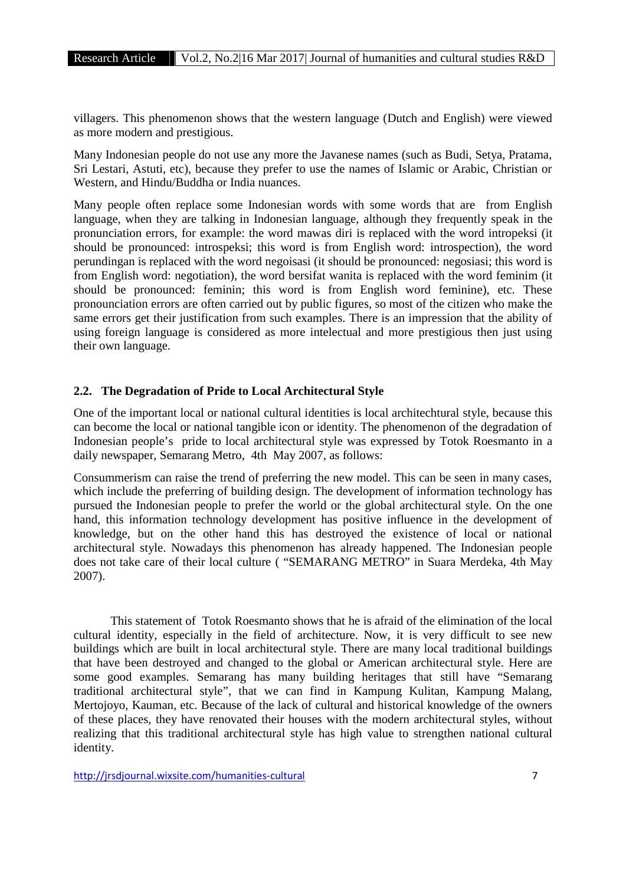villagers. This phenomenon shows that the western language (Dutch and English) were viewed as more modern and prestigious.

Many Indonesian people do not use any more the Javanese names (such as Budi, Setya, Pratama, Sri Lestari, Astuti, etc), because they prefer to use the names of Islamic or Arabic, Christian or Western, and Hindu/Buddha or India nuances.

Many people often replace some Indonesian words with some words that are from English language, when they are talking in Indonesian language, although they frequently speak in the pronunciation errors, for example: the word mawas diri is replaced with the word intropeksi (it should be pronounced: introspeksi; this word is from English word: introspection), the word perundingan is replaced with the word negoisasi (it should be pronounced: negosiasi; this word is from English word: negotiation), the word bersifat wanita is replaced with the word feminim (it should be pronounced: feminin; this word is from English word feminine), etc. These pronounciation errors are often carried out by public figures, so most of the citizen who make the same errors get their justification from such examples. There is an impression that the ability of using foreign language is considered as more intelectual and more prestigious then just using their own language.

## **2.2. The Degradation of Pride to Local Architectural Style**

One of the important local or national cultural identities is local architechtural style, because this can become the local or national tangible icon or identity. The phenomenon of the degradation of Indonesian people's pride to local architectural style was expressed by Totok Roesmanto in a daily newspaper, Semarang Metro, 4th May 2007, as follows:

Consummerism can raise the trend of preferring the new model. This can be seen in many cases, which include the preferring of building design. The development of information technology has pursued the Indonesian people to prefer the world or the global architectural style. On the one hand, this information technology development has positive influence in the development of knowledge, but on the other hand this has destroyed the existence of local or national architectural style. Nowadays this phenomenon has already happened. The Indonesian people does not take care of their local culture ( "SEMARANG METRO" in Suara Merdeka, 4th May 2007).

This statement of Totok Roesmanto shows that he is afraid of the elimination of the local cultural identity, especially in the field of architecture. Now, it is very difficult to see new buildings which are built in local architectural style. There are many local traditional buildings that have been destroyed and changed to the global or American architectural style. Here are some good examples. Semarang has many building heritages that still have "Semarang traditional architectural style", that we can find in Kampung Kulitan, Kampung Malang, Mertojoyo, Kauman, etc. Because of the lack of cultural and historical knowledge of the owners of these places, they have renovated their houses with the modern architectural styles, without realizing that this traditional architectural style has high value to strengthen national cultural identity.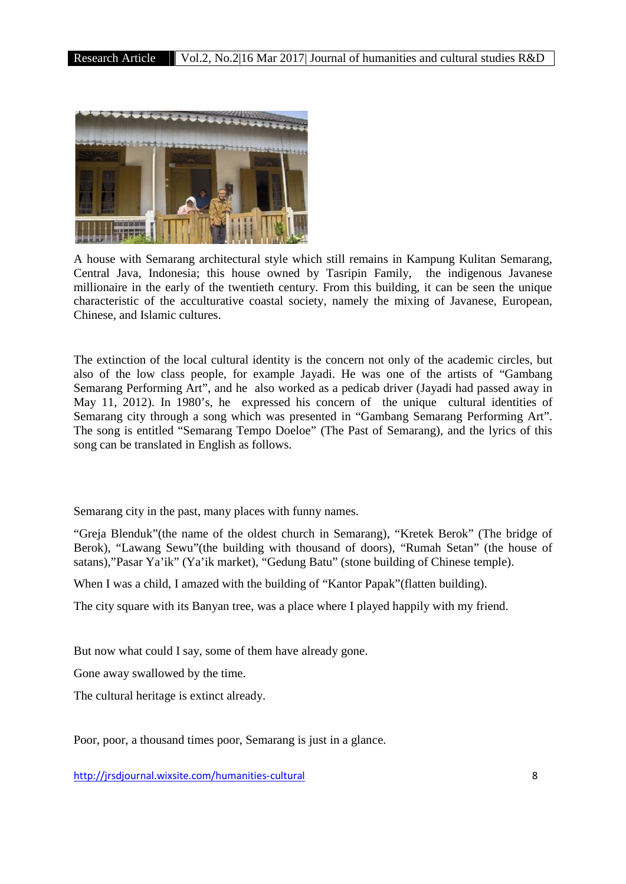

A house with Semarang architectural style which still remains in Kampung Kulitan Semarang, Central Java, Indonesia; this house owned by Tasripin Family, the indigenous Javanese millionaire in the early of the twentieth century. From this building, it can be seen the unique characteristic of the acculturative coastal society, namely the mixing of Javanese, European, Chinese, and Islamic cultures.

The extinction of the local cultural identity is the concern not only of the academic circles, but also of the low class people, for example Jayadi. He was one of the artists of "Gambang Semarang Performing Art", and he also worked as a pedicab driver (Jayadi had passed away in May 11, 2012). In 1980's, he expressed his concern of the unique cultural identities of Semarang city through a song which was presented in "Gambang Semarang Performing Art". The song is entitled "Semarang Tempo Doeloe" (The Past of Semarang), and the lyrics of this song can be translated in English as follows.

Semarang city in the past, many places with funny names.

"Greja Blenduk"(the name of the oldest church in Semarang), "Kretek Berok" (The bridge of Berok), "Lawang Sewu"(the building with thousand of doors), "Rumah Setan" (the house of satans),"Pasar Ya'ik" (Ya'ik market), "Gedung Batu" (stone building of Chinese temple).

When I was a child, I amazed with the building of "Kantor Papak"(flatten building).

The city square with its Banyan tree, was a place where I played happily with my friend.

But now what could I say, some of them have already gone.

Gone away swallowed by the time.

The cultural heritage is extinct already.

Poor, poor, a thousand times poor, Semarang is just in a glance.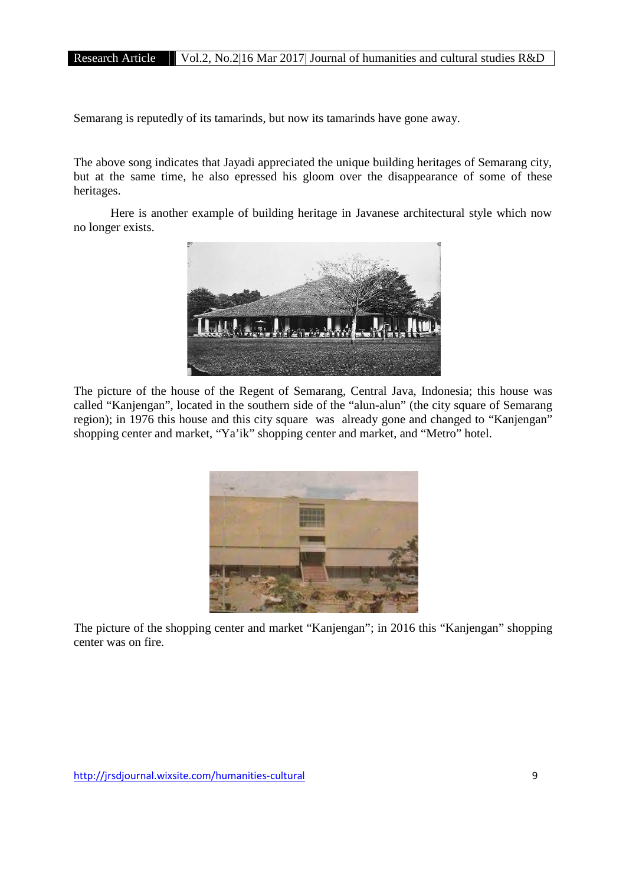Semarang is reputedly of its tamarinds, but now its tamarinds have gone away.

The above song indicates that Jayadi appreciated the unique building heritages of Semarang city, but at the same time, he also epressed his gloom over the disappearance of some of these heritages.

Here is another example of building heritage in Javanese architectural style which now no longer exists.



The picture of the house of the Regent of Semarang, Central Java, Indonesia; this house was called "Kanjengan", located in the southern side of the "alun-alun" (the city square of Semarang region); in 1976 this house and this city square was already gone and changed to "Kanjengan" shopping center and market, "Ya'ik" shopping center and market, and "Metro" hotel.



The picture of the shopping center and market "Kanjengan"; in 2016 this "Kanjengan" shopping center was on fire.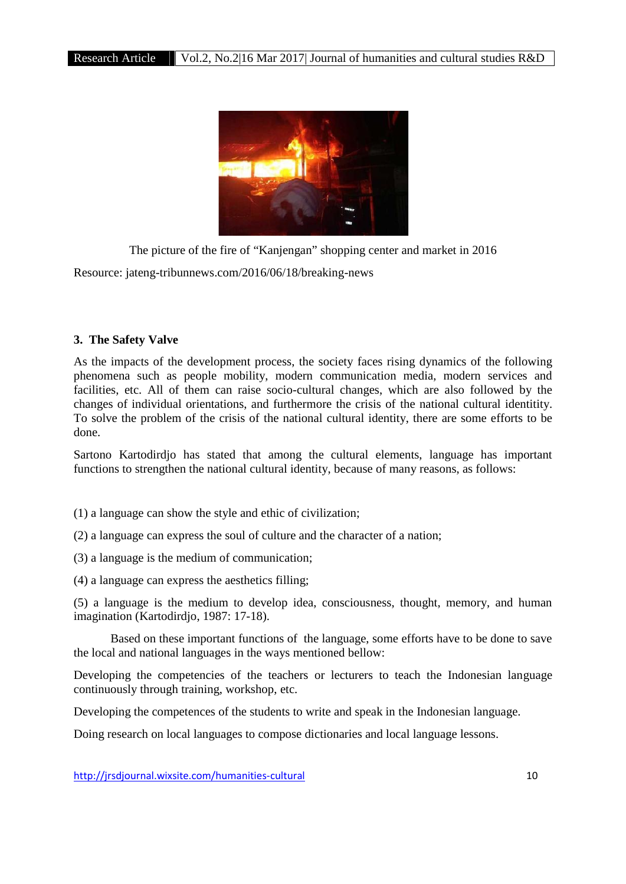

The picture of the fire of "Kanjengan" shopping center and market in 2016 Resource: jateng-tribunnews.com/2016/06/18/breaking-news

## **3. The Safety Valve**

As the impacts of the development process, the society faces rising dynamics of the following phenomena such as people mobility, modern communication media, modern services and facilities, etc. All of them can raise socio-cultural changes, which are also followed by the changes of individual orientations, and furthermore the crisis of the national cultural identitity. To solve the problem of the crisis of the national cultural identity, there are some efforts to be done.

Sartono Kartodirdjo has stated that among the cultural elements, language has important functions to strengthen the national cultural identity, because of many reasons, as follows:

- (1) a language can show the style and ethic of civilization;
- (2) a language can express the soul of culture and the character of a nation;
- (3) a language is the medium of communication;
- (4) a language can express the aesthetics filling;

(5) a language is the medium to develop idea, consciousness, thought, memory, and human imagination (Kartodirdio, 1987: 17-18).

Based on these important functions of the language, some efforts have to be done to save the local and national languages in the ways mentioned bellow:

Developing the competencies of the teachers or lecturers to teach the Indonesian language continuously through training, workshop, etc.

Developing the competences of the students to write and speak in the Indonesian language.

Doing research on local languages to compose dictionaries and local language lessons.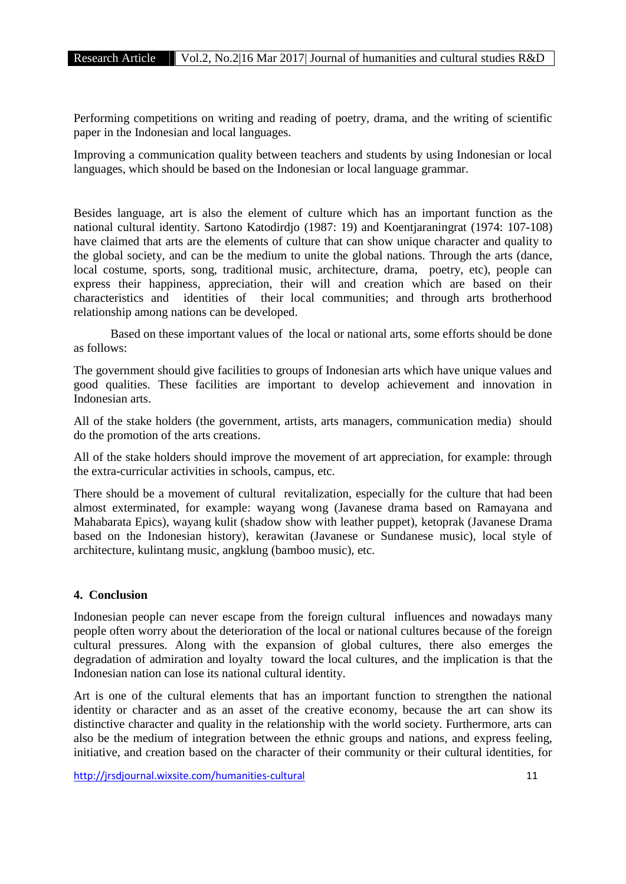Performing competitions on writing and reading of poetry, drama, and the writing of scientific paper in the Indonesian and local languages.

Improving a communication quality between teachers and students by using Indonesian or local languages, which should be based on the Indonesian or local language grammar.

Besides language, art is also the element of culture which has an important function as the national cultural identity. Sartono Katodirdjo (1987: 19) and Koentjaraningrat (1974: 107-108) have claimed that arts are the elements of culture that can show unique character and quality to the global society, and can be the medium to unite the global nations. Through the arts (dance, local costume, sports, song, traditional music, architecture, drama, poetry, etc), people can express their happiness, appreciation, their will and creation which are based on their characteristics and identities of their local communities; and through arts brotherhood relationship among nations can be developed.

Based on these important values of the local or national arts, some efforts should be done as follows:

The government should give facilities to groups of Indonesian arts which have unique values and good qualities. These facilities are important to develop achievement and innovation in Indonesian arts.

All of the stake holders (the government, artists, arts managers, communication media) should do the promotion of the arts creations.

All of the stake holders should improve the movement of art appreciation, for example: through the extra-curricular activities in schools, campus, etc.

There should be a movement of cultural revitalization, especially for the culture that had been almost exterminated, for example: wayang wong (Javanese drama based on Ramayana and Mahabarata Epics), wayang kulit (shadow show with leather puppet), ketoprak (Javanese Drama based on the Indonesian history), kerawitan (Javanese or Sundanese music), local style of architecture, kulintang music, angklung (bamboo music), etc.

## **4. Conclusion**

Indonesian people can never escape from the foreign cultural influences and nowadays many people often worry about the deterioration of the local or national cultures because of the foreign cultural pressures. Along with the expansion of global cultures, there also emerges the degradation of admiration and loyalty toward the local cultures, and the implication is that the Indonesian nation can lose its national cultural identity.

Art is one of the cultural elements that has an important function to strengthen the national identity or character and as an asset of the creative economy, because the art can show its distinctive character and quality in the relationship with the world society. Furthermore, arts can also be the medium of integration between the ethnic groups and nations, and express feeling, initiative, and creation based on the character of their community or their cultural identities, for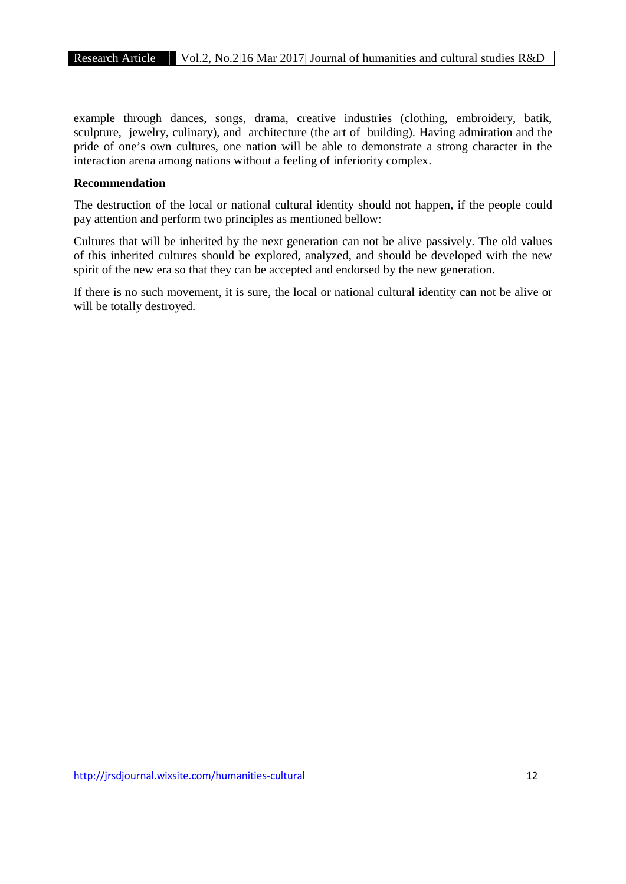example through dances, songs, drama, creative industries (clothing, embroidery, batik, sculpture, jewelry, culinary), and architecture (the art of building). Having admiration and the pride of one's own cultures, one nation will be able to demonstrate a strong character in the interaction arena among nations without a feeling of inferiority complex.

### **Recommendation**

The destruction of the local or national cultural identity should not happen, if the people could pay attention and perform two principles as mentioned bellow:

Cultures that will be inherited by the next generation can not be alive passively. The old values of this inherited cultures should be explored, analyzed, and should be developed with the new spirit of the new era so that they can be accepted and endorsed by the new generation.

If there is no such movement, it is sure, the local or national cultural identity can not be alive or will be totally destroyed.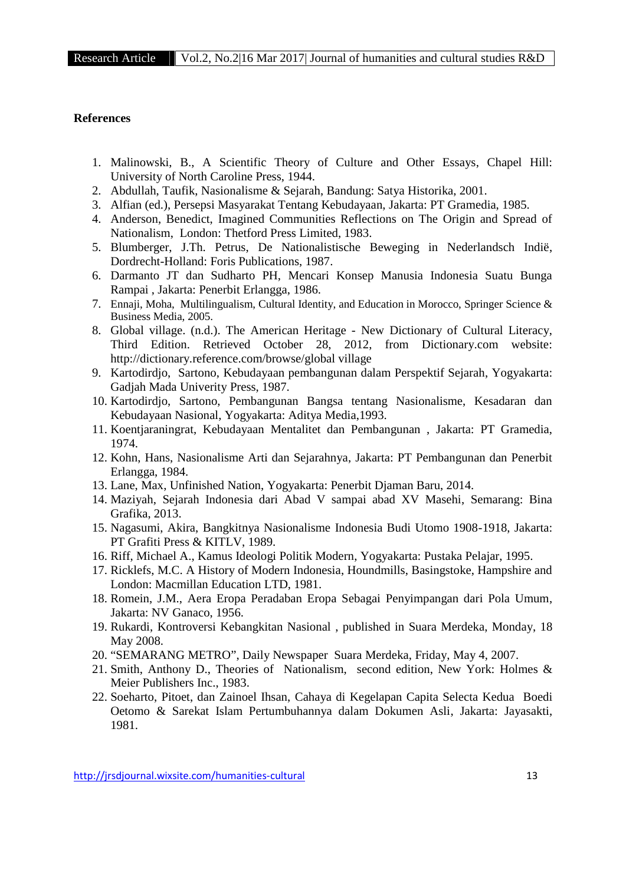#### **References**

- 1. Malinowski, B., A Scientific Theory of Culture and Other Essays, Chapel Hill: University of North Caroline Press, 1944.
- 2. Abdullah, Taufik, Nasionalisme & Sejarah, Bandung: Satya Historika, 2001.
- 3. Alfian (ed.), Persepsi Masyarakat Tentang Kebudayaan, Jakarta: PT Gramedia, 1985.
- 4. Anderson, Benedict, Imagined Communities Reflections on The Origin and Spread of Nationalism, London: Thetford Press Limited, 1983.
- 5. Blumberger, J.Th. Petrus, De Nationalistische Beweging in Nederlandsch Indië, Dordrecht-Holland: Foris Publications, 1987.
- 6. Darmanto JT dan Sudharto PH, Mencari Konsep Manusia Indonesia Suatu Bunga Rampai , Jakarta: Penerbit Erlangga, 1986.
- 7. Ennaji, Moha, Multilingualism, Cultural Identity, and Education in Morocco, Springer Science & Business Media, 2005.
- 8. Global village. (n.d.). The American Heritage New Dictionary of Cultural Literacy, Third Edition. Retrieved October 28, 2012, from Dictionary.com website: http://dictionary.reference.com/browse/global village
- 9. Kartodirdjo, Sartono, Kebudayaan pembangunan dalam Perspektif Sejarah, Yogyakarta: Gadjah Mada Univerity Press, 1987.
- 10. Kartodirdjo, Sartono, Pembangunan Bangsa tentang Nasionalisme, Kesadaran dan Kebudayaan Nasional, Yogyakarta: Aditya Media,1993.
- 11. Koentjaraningrat, Kebudayaan Mentalitet dan Pembangunan , Jakarta: PT Gramedia, 1974.
- 12. Kohn, Hans, Nasionalisme Arti dan Sejarahnya, Jakarta: PT Pembangunan dan Penerbit Erlangga, 1984.
- 13. Lane, Max, Unfinished Nation, Yogyakarta: Penerbit Djaman Baru, 2014.
- 14. Maziyah, Sejarah Indonesia dari Abad V sampai abad XV Masehi, Semarang: Bina Grafika, 2013.
- 15. Nagasumi, Akira, Bangkitnya Nasionalisme Indonesia Budi Utomo 1908-1918, Jakarta: PT Grafiti Press & KITLV, 1989.
- 16. Riff, Michael A., Kamus Ideologi Politik Modern, Yogyakarta: Pustaka Pelajar, 1995.
- 17. Ricklefs, M.C. A History of Modern Indonesia, Houndmills, Basingstoke, Hampshire and London: Macmillan Education LTD, 1981.
- 18. Romein, J.M., Aera Eropa Peradaban Eropa Sebagai Penyimpangan dari Pola Umum, Jakarta: NV Ganaco, 1956.
- 19. Rukardi, Kontroversi Kebangkitan Nasional , published in Suara Merdeka, Monday, 18 May 2008.
- 20. "SEMARANG METRO", Daily Newspaper Suara Merdeka, Friday, May 4, 2007.
- 21. Smith, Anthony D., Theories of Nationalism, second edition, New York: Holmes & Meier Publishers Inc., 1983.
- 22. Soeharto, Pitoet, dan Zainoel Ihsan, Cahaya di Kegelapan Capita Selecta Kedua Boedi Oetomo & Sarekat Islam Pertumbuhannya dalam Dokumen Asli, Jakarta: Jayasakti, 1981.